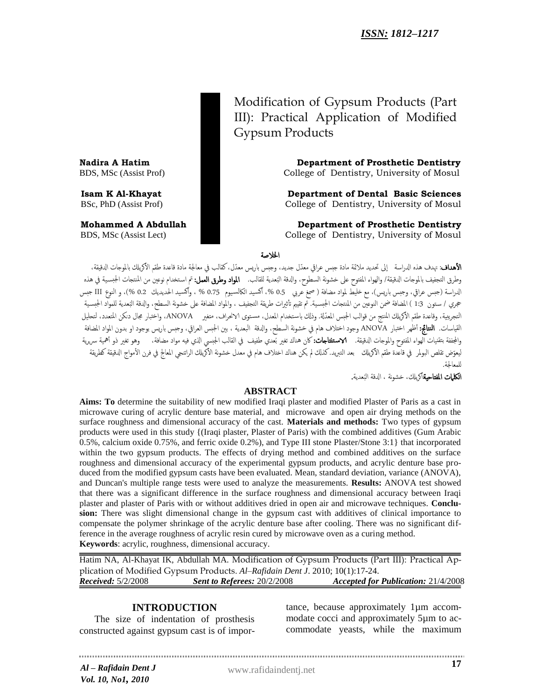Modification of Gypsum Products (Part III): Practical Application of Modified Gypsum Products

**Nadira A Hatim Department of Prosthetic Dentistry** BDS, MSc (Assist Prof) College of Dentistry, University of Mosul

**Isam K Al-Khayat Community Community Community Department of Dental Basic Sciences** BSc, PhD (Assist Prof) College of Dentistry, University of Mosul

**Mohammed A Abdullah Department of Prosthetic Dentistry**  BDS, MSc (Assist Lect) College of Dentistry, University of Mosul

#### اخلالضة

**الأهداف**: تهدف هذه الدراسة إلى تحديد ملائمة مادة جبس عراقي معدّل جديد، وجبس باريس معدّل، كقالب في معالجة مادة قاعدة طقم الأكريلك بالموجات الدقيقة، وطرق التجفيف بالموجات الدقيقة/ والهواء المفتوح على خشونة السطوح، والدقة البُعدية للقالب. **المواد وطرق العمل:** تم استخدام نوعين من المنتجات الجبسية في هذه ُ الدراسة (جبس عراقي، وجبس باريس)، مع خليط لمواد مضافة ( صمغ عربي 0.5 % ، أكسيد الكالسيوم 0.75 % ، وأكسيد الحديديك 0.2 %)، و النوع III جبس حجري / ستون 1:3 ) المضافة ضمن النوعين من المنتجات الجبسـية. تم تقييم تأثيرات طريقة التجفيف ، والمواد المضافة على خشونة السطح، والدقة البُعدية للمواد الجبسـية ُ التجريبية، وقاعدة طقم الأكريلك المنتج من قوالب الجبس المعدّلة. وذلك باستخدام المعدل، مستوى الانحراف، متغير ANOVA، واختبار مجال دنكن المتعدد، لتحليل القياسات. ا**لنتائج:** أظهر اختبار ANOVA وجود اختلاف هام في خشونة السطح، والدقة البعدية ، بين الجبس العراقي، وجبس باريس بوجود او بدون المواد المضافة والمجففة بتقنيات الهواء المفتوح والموجات الدقيقة. ا**لاستلتاجات:**كان هناك تغير بُعدي طفيف في القالب الجبسي الذي فيه مواد مضافة، وهو تغير ذو أهمية سريرية ليعوّض تقلص البولمر في قاعدة طقم الأكريلك بعد التبريد.كذلك لم يكن هناك اختلاف هام في معدل خشونة الأكريلك الراتنجي المعالج في فرن الأمواج الدقيقة كطريقة يٌمعاجلة.

> **الكلمات المفتاحية**أكريلك، خشونة ، الدقة البُعدية. ُ

#### **ABSTRACT**

**Aims: To** determine the suitability of new modified Iraqi plaster and modified Plaster of Paris as a cast in microwave curing of acrylic denture base material, and microwave and open air drying methods on the surface roughness and dimensional accuracy of the cast. **Materials and methods:** Two types of gypsum products were used in this study {(Iraqi plaster, Plaster of Paris) with the combined additives (Gum Arabic 0.5%, calcium oxide 0.75%, and ferric oxide 0.2%), and Type III stone Plaster/Stone 3:1} that incorporated within the two gypsum products. The effects of drying method and combined additives on the surface roughness and dimensional accuracy of the experimental gypsum products, and acrylic denture base produced from the modified gypsum casts have been evaluated. Mean, standard deviation, variance (ANOVA), and Duncan's multiple range tests were used to analyze the measurements. **Results:** ANOVA test showed that there was a significant difference in the surface roughness and dimensional accuracy between Iraqi plaster and plaster of Paris with or without additives dried in open air and microwave techniques. **Conclusion:** There was slight dimensional change in the gypsum cast with additives of clinical importance to compensate the polymer shrinkage of the acrylic denture base after cooling. There was no significant difference in the average roughness of acrylic resin cured by microwave oven as a curing method. **Keywords**: acrylic, roughness, dimensional accuracy.

Hatim NA, Al-Khayat IK, Abdullah MA. Modification of Gypsum Products (Part III): Practical Application of Modified Gypsum Products. *Al–Rafidain Dent J*. 2010; 10(1):17-24. *Received:* 5/2/2008 *Sent to Referees:* 20/2/2008 *Accepted for Publication:* 21/4/2008

# **INTRODUCTION**

The size of indentation of prosthesis constructed against gypsum cast is of importance, because approximately 1µm accommodate cocci and approximately 5µm to accommodate yeasts, while the maximum

*Al* www.rafidaindentj.net *– Rafidain Dent J Vol. 10, No1, 2010*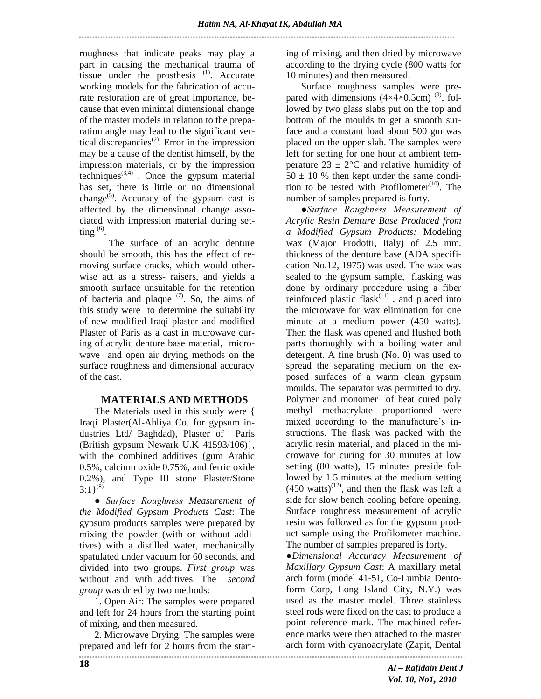roughness that indicate peaks may play a part in causing the mechanical trauma of tissue under the prosthesis  $(1)$ . Accurate working models for the fabrication of accurate restoration are of great importance, because that even minimal dimensional change of the master models in relation to the preparation angle may lead to the significant vertical discrepancies<sup>(2)</sup>. Error in the impression may be a cause of the dentist himself, by the impression materials, or by the impression techniques $^{(3,4)}$ . Once the gypsum material has set, there is little or no dimensional change<sup>(5)</sup>. Accuracy of the gypsum cast is affected by the dimensional change associated with impression material during setting  $(6)$ .

 The surface of an acrylic denture should be smooth, this has the effect of removing surface cracks, which would otherwise act as a stress- raisers, and yields a smooth surface unsuitable for the retention of bacteria and plaque  $(7)$ . So, the aims of this study were to determine the suitability of new modified Iraqi plaster and modified Plaster of Paris as a cast in microwave curing of acrylic denture base material, microwave and open air drying methods on the surface roughness and dimensional accuracy of the cast.

# **MATERIALS AND METHODS**

The Materials used in this study were { Iraqi Plaster(Al-Ahliya Co. for gypsum industries Ltd/ Baghdad), Plaster of Paris (British gypsum Newark U.K 41593/106)}, with the combined additives (gum Arabic 0.5%, calcium oxide 0.75%, and ferric oxide 0.2%), and Type III stone Plaster/Stone  $3:1$ <sup>(8)</sup>

*● Surface Roughness Measurement of the Modified Gypsum Products Cast*: The gypsum products samples were prepared by mixing the powder (with or without additives) with a distilled water, mechanically spatulated under vacuum for 60 seconds, and divided into two groups. *First group* was without and with additives. The *second group* was dried by two methods:

1. Open Air: The samples were prepared and left for 24 hours from the starting point of mixing, and then measured.

2. Microwave Drying: The samples were prepared and left for 2 hours from the start-<br>
intervalsed and left for 2 hours from the start-<br>
intervalsed and left for 2 hours from the start-<br>
intervalsed form with cyanoacrylate (Zapit, Dental

ing of mixing, and then dried by microwave according to the drying cycle (800 watts for 10 minutes) and then measured.

Surface roughness samples were prepared with dimensions  $(4\times4\times0.5$ cm)<sup>(9)</sup>, followed by two glass slabs put on the top and bottom of the moulds to get a smooth surface and a constant load about 500 gm was placed on the upper slab. The samples were left for setting for one hour at ambient temperature  $23 \pm 2$ °C and relative humidity of  $50 \pm 10$  % then kept under the same condition to be tested with Profilometer $(10)$ . The number of samples prepared is forty.

*●Surface Roughness Measurement of Acrylic Resin Denture Base Produced from a Modified Gypsum Products:* Modeling wax (Major Prodotti, Italy) of 2.5 mm. thickness of the denture base (ADA specification No.12, 1975) was used. The wax was sealed to the gypsum sample, flasking was done by ordinary procedure using a fiber reinforced plastic  $f$ lask<sup> $(11)$ </sup>, and placed into the microwave for wax elimination for one minute at a medium power (450 watts). Then the flask was opened and flushed both parts thoroughly with a boiling water and detergent. A fine brush (No. 0) was used to spread the separating medium on the exposed surfaces of a warm clean gypsum moulds. The separator was permitted to dry. Polymer and monomer of heat cured poly methyl methacrylate proportioned were mixed according to the manufacture's instructions. The flask was packed with the acrylic resin material, and placed in the microwave for curing for 30 minutes at low setting (80 watts), 15 minutes preside followed by 1.5 minutes at the medium setting  $(450 \text{ watts})^{(12)}$ , and then the flask was left a side for slow bench cooling before opening. Surface roughness measurement of acrylic resin was followed as for the gypsum product sample using the Profilometer machine. The number of samples prepared is forty.

*●Dimensional Accuracy Measurement of Maxillary Gypsum Cast*: A maxillary metal arch form (model 41-51, Co-Lumbia Dentoform Corp, Long Island City, N.Y.) was used as the master model. Three stainless steel rods were fixed on the cast to produce a point reference mark. The machined reference marks were then attached to the master arch form with cyanoacrylate (Zapit, Dental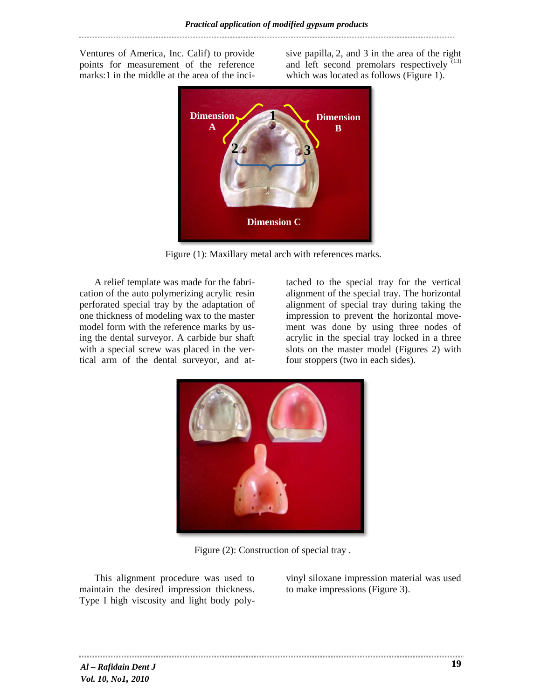Ventures of America, Inc. Calif) to provide points for measurement of the reference marks:1 in the middle at the area of the inci-

sive papilla, 2, and 3 in the area of the right and left second premolars respectively  $(13)$ which was located as follows (Figure 1).



Figure (1): Maxillary metal arch with references marks.

A relief template was made for the fabrication of the auto polymerizing acrylic resin perforated special tray by the adaptation of one thickness of modeling wax to the master model form with the reference marks by using the dental surveyor. A carbide bur shaft with a special screw was placed in the vertical arm of the dental surveyor, and at-

tached to the special tray for the vertical alignment of the special tray. The horizontal alignment of special tray during taking the impression to prevent the horizontal movement was done by using three nodes of acrylic in the special tray locked in a three slots on the master model (Figures 2) with four stoppers (two in each sides).



Figure (2): Construction of special tray .

This alignment procedure was used to maintain the desired impression thickness. Type I high viscosity and light body poly-

vinyl siloxane impression material was used to make impressions (Figure 3).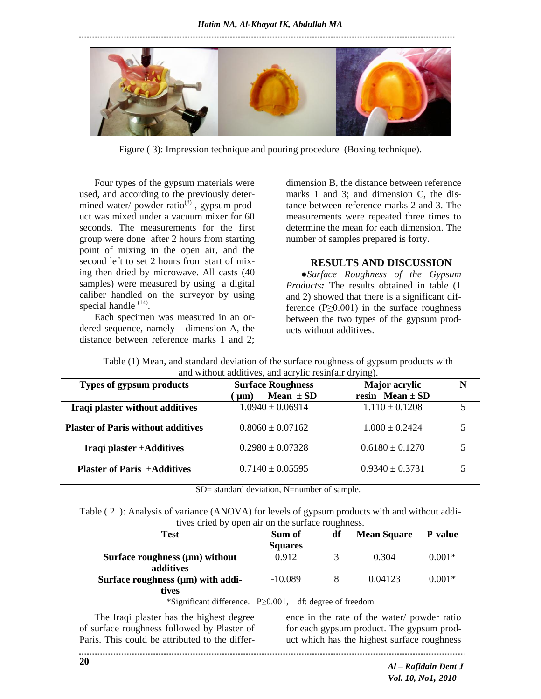

Figure ( 3): Impression technique and pouring procedure (Boxing technique).

Four types of the gypsum materials were used, and according to the previously determined water/ powder ratio $^{(8)}$ , gypsum product was mixed under a vacuum mixer for 60 seconds. The measurements for the first group were done after 2 hours from starting point of mixing in the open air, and the second left to set 2 hours from start of mixing then dried by microwave. All casts (40 samples) were measured by using a digital caliber handled on the surveyor by using special handle  $(14)$ .

Each specimen was measured in an ordered sequence, namely dimension A, the distance between reference marks 1 and 2;

dimension B, the distance between reference marks 1 and 3; and dimension C, the distance between reference marks 2 and 3. The measurements were repeated three times to determine the mean for each dimension. The number of samples prepared is forty.

# **RESULTS AND DISCUSSION**

**●***Surface Roughness of the Gypsum Products:* The results obtained in table (1 and 2) showed that there is a significant difference ( $P \ge 0.001$ ) in the surface roughness between the two types of the gypsum products without additives.

| and without additives, and acrylic resin(air drying). |                          |                      |   |  |  |  |
|-------------------------------------------------------|--------------------------|----------------------|---|--|--|--|
| <b>Types of gypsum products</b>                       | <b>Surface Roughness</b> | <b>Major</b> acrylic | N |  |  |  |
|                                                       | Mean $\pm$ SD<br>$\mu$ m | resin Mean $\pm$ SD  |   |  |  |  |
| Iraqi plaster without additives                       | $1.0940 \pm 0.06914$     | $1.110 \pm 0.1208$   | 5 |  |  |  |
| <b>Plaster of Paris without additives</b>             | $0.8060 \pm 0.07162$     | $1.000 + 0.2424$     | 5 |  |  |  |
| Iraqi plaster +Additives                              | $0.2980 \pm 0.07328$     | $0.6180 \pm 0.1270$  | 5 |  |  |  |
| <b>Plaster of Paris +Additives</b>                    | $0.7140 \pm 0.05595$     | $0.9340 \pm 0.3731$  |   |  |  |  |
|                                                       |                          |                      |   |  |  |  |

Table (1) Mean, and standard deviation of the surface roughness of gypsum products with

SD= standard deviation, N=number of sample.

| Table (2): Analysis of variance (ANOVA) for levels of gypsum products with and without addi- |  |
|----------------------------------------------------------------------------------------------|--|
| tives dried by open air on the surface roughness.                                            |  |

| $\mathbf{u}$ , $\mathbf{v}$ and $\mathbf{v}$ , $\mathbf{v}$ being the surface roughing $\mathbf{v}$ . |                |    |                    |                |  |  |  |
|-------------------------------------------------------------------------------------------------------|----------------|----|--------------------|----------------|--|--|--|
| <b>Test</b>                                                                                           | Sum of         | df | <b>Mean Square</b> | <b>P-value</b> |  |  |  |
|                                                                                                       | <b>Squares</b> |    |                    |                |  |  |  |
| Surface roughness $(\mu m)$ without                                                                   | 0.912          |    | 0.304              | $0.001*$       |  |  |  |
| additives                                                                                             |                |    |                    |                |  |  |  |
| Surface roughness $(\mu m)$ with addi-                                                                | $-10.089$      |    | 0.04123            | $0.001*$       |  |  |  |
| tives                                                                                                 |                |    |                    |                |  |  |  |

\*Significant difference. P≥0.001, df: degree of freedom

The Iraqi plaster has the highest degree of surface roughness followed by Plaster of Paris. This could be attributed to the differ-

ence in the rate of the water/ powder ratio for each gypsum product. The gypsum product which has the highest surface roughness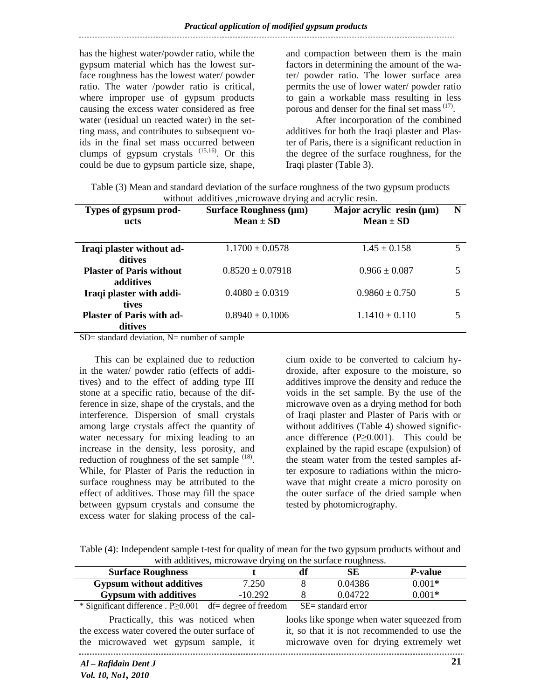has the highest water/powder ratio, while the gypsum material which has the lowest surface roughness has the lowest water/ powder ratio. The water /powder ratio is critical, where improper use of gypsum products causing the excess water considered as free water (residual un reacted water) in the setting mass, and contributes to subsequent voids in the final set mass occurred between clumps of gypsum crystals  $(15,16)$ . Or this could be due to gypsum particle size, shape,

and compaction between them is the main factors in determining the amount of the water/ powder ratio. The lower surface area permits the use of lower water/ powder ratio to gain a workable mass resulting in less porous and denser for the final set mass<sup>(17)</sup>.

 After incorporation of the combined additives for both the Iraqi plaster and Plaster of Paris, there is a significant reduction in the degree of the surface roughness, for the Iraqi plaster (Table 3).

| Table (3) Mean and standard deviation of the surface roughness of the two gypsum products |
|-------------------------------------------------------------------------------------------|
| without additives , microwave drying and acrylic resin.                                   |

| Types of gypsum prod-<br>ucts                        | <b>Surface Roughness (µm)</b><br>Mean $\pm$ SD | Major acrylic resin $(\mu m)$<br>Mean $\pm$ SD | N |
|------------------------------------------------------|------------------------------------------------|------------------------------------------------|---|
| Iraqi plaster without ad-<br>ditives                 | $1.1700 \pm 0.0578$                            | $1.45 \pm 0.158$                               |   |
| <b>Plaster of Paris without</b>                      | $0.8520 \pm 0.07918$                           | $0.966 \pm 0.087$                              |   |
| additives<br>Iraqi plaster with addi-                | $0.4080 \pm 0.0319$                            | $0.9860 \pm 0.750$                             |   |
| tives<br><b>Plaster of Paris with ad-</b><br>ditives | $0.8940 \pm 0.1006$                            | $1.1410 \pm 0.110$                             |   |

 $SD=$  standard deviation,  $N=$  number of sample

This can be explained due to reduction in the water/ powder ratio (effects of additives) and to the effect of adding type III stone at a specific ratio, because of the difference in size, shape of the crystals, and the interference. Dispersion of small crystals among large crystals affect the quantity of water necessary for mixing leading to an increase in the density, less porosity, and reduction of roughness of the set sample  $(18)$ . While, for Plaster of Paris the reduction in surface roughness may be attributed to the effect of additives. Those may fill the space between gypsum crystals and consume the excess water for slaking process of the cal-

cium oxide to be converted to calcium hydroxide, after exposure to the moisture, so additives improve the density and reduce the voids in the set sample. By the use of the microwave oven as a drying method for both of Iraqi plaster and Plaster of Paris with or without additives (Table 4) showed significance difference ( $P \ge 0.001$ ). This could be explained by the rapid escape (expulsion) of the steam water from the tested samples after exposure to radiations within the microwave that might create a micro porosity on the outer surface of the dried sample when tested by photomicrography.

| Table (4): Independent sample t-test for quality of mean for the two gypsum products without and |  |
|--------------------------------------------------------------------------------------------------|--|
| with additives, microwave drying on the surface roughness.                                       |  |

| <b>Surface Roughness</b>                                       |           |                    |         | <i>P</i> -value |  |
|----------------------------------------------------------------|-----------|--------------------|---------|-----------------|--|
| <b>Gypsum without additives</b>                                | 7.250     |                    | 0.04386 | $0.001*$        |  |
| <b>Gypsum with additives</b>                                   | $-10.292$ |                    | 0.04722 | $0.001*$        |  |
| * Significant difference . $P \ge 0.001$ df= degree of freedom |           | SE= standard error |         |                 |  |
|                                                                |           |                    |         |                 |  |

 Practically, this was noticed when the excess water covered the outer surface of the microwaved wet gypsum sample, it 

looks like sponge when water squeezed from it, so that it is not recommended to use the microwave oven for drying extremely wet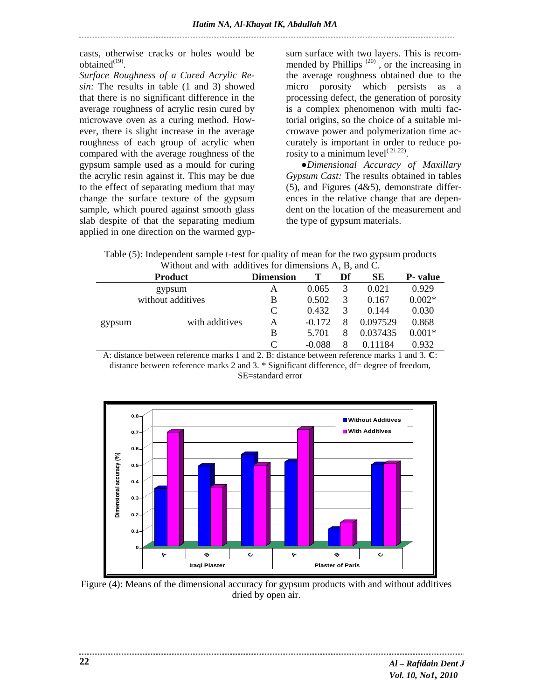casts, otherwise cracks or holes would be obtained $^{(19)}$ .

*Surface Roughness of a Cured Acrylic Resin:* The results in table (1 and 3) showed that there is no significant difference in the average roughness of acrylic resin cured by microwave oven as a curing method. However, there is slight increase in the average roughness of each group of acrylic when compared with the average roughness of the gypsum sample used as a mould for curing the acrylic resin against it. This may be due to the effect of separating medium that may change the surface texture of the gypsum sample, which poured against smooth glass slab despite of that the separating medium applied in one direction on the warmed gyp-

sum surface with two layers. This is recommended by Phillips  $(20)$ , or the increasing in the average roughness obtained due to the micro porosity which persists as a processing defect, the generation of porosity is a complex phenomenon with multi factorial origins, so the choice of a suitable microwave power and polymerization time accurately is important in order to reduce porosity to a minimum level $^{(21,22)}$ .

**●***Dimensional Accuracy of Maxillary Gypsum Cast:* The results obtained in tables  $(5)$ , and Figures  $(4&5)$ , demonstrate differences in the relative change that are dependent on the location of the measurement and the type of gypsum materials.

Table (5): Independent sample t-test for quality of mean for the two gypsum products Without and with additives for dimensions A, B, and C.

|                   | <b>Product</b> | <b>Dimension</b> |          | Df | SЕ       | <b>P</b> -value |
|-------------------|----------------|------------------|----------|----|----------|-----------------|
|                   | gypsum         | Α                | 0.065    | 3  | 0.021    | 0.929           |
| without additives |                | B                | 0.502    | 3  | 0.167    | $0.002*$        |
|                   |                | C                | 0.432    | 3  | 0.144    | 0.030           |
| gypsum            | with additives | А                | $-0.172$ | 8  | 0.097529 | 0.868           |
|                   |                | B                | 5.701    | 8  | 0.037435 | $0.001*$        |
|                   |                | $\subset$        | $-0.088$ | 8  | 0.11184  | 0.932           |

A: distance between reference marks 1 and 2. B: distance between reference marks 1 and 3. **C**: distance between reference marks 2 and 3. \* Significant difference, df= degree of freedom, SE=standard error



Figure (4): Means of the dimensional accuracy for gypsum products with and without additives dried by open air.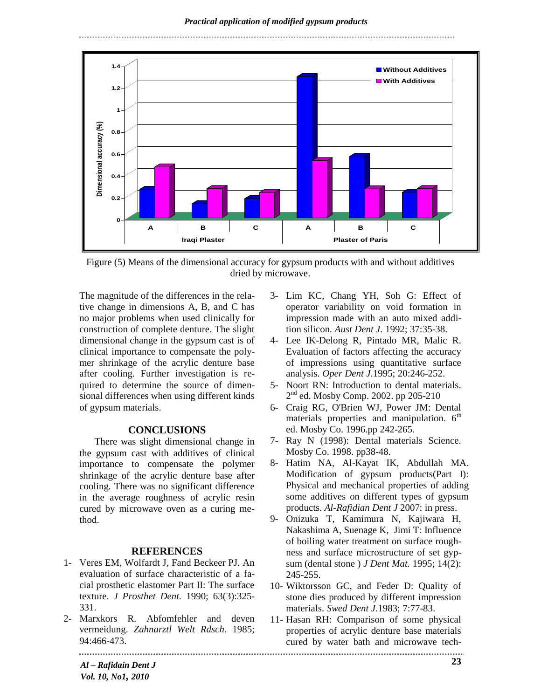

Figure (5) Means of the dimensional accuracy for gypsum products with and without additives dried by microwave.

The magnitude of the differences in the relative change in dimensions A, B, and C has no major problems when used clinically for construction of complete denture. The slight dimensional change in the gypsum cast is of clinical importance to compensate the polymer shrinkage of the acrylic denture base after cooling. Further investigation is required to determine the source of dimensional differences when using different kinds of gypsum materials.

### **CONCLUSIONS**

There was slight dimensional change in the gypsum cast with additives of clinical importance to compensate the polymer shrinkage of the acrylic denture base after cooling. There was no significant difference in the average roughness of acrylic resin cured by microwave oven as a curing method.

#### **REFERENCES**

- 1- Veres EM, Wolfardt J, Fand Beckeer PJ. An evaluation of surface characteristic of a facial prosthetic elastomer Part II: The surface texture. *J Prosthet Dent.* 1990; 63(3):325- 331.
- 2- Marxkors R. Abfomfehler and deven vermeidung. *Zahnarztl Welt Rdsch*. 1985; 94:466-473.
- 3- Lim KC, Chang YH, Soh G: Effect of operator variability on void formation in impression made with an auto mixed addition silicon*. Aust Dent J.* 1992; 37:35-38.
- 4- Lee IK-Delong R, Pintado MR, Malic R. Evaluation of factors affecting the accuracy of impressions using quantitative surface analysis. *Oper Dent J*.1995; 20:246-252.
- 5- Noort RN: Introduction to dental materials. 2<sup>nd</sup> ed. Mosby Comp. 2002. pp 205-210
- 6- Craig RG, O'Brien WJ, Power JM: Dental materials properties and manipulation.  $6<sup>th</sup>$ ed. Mosby Co. 1996.pp 242-265.
- 7- Ray N (1998): Dental materials Science. Mosby Co. 1998. pp38-48.
- 8- Hatim NA, Al-Kayat IK, Abdullah MA. Modification of gypsum products(Part I): Physical and mechanical properties of adding some additives on different types of gypsum products. *Al-Rafidian Dent J* 2007: in press.
- 9- Onizuka T, Kamimura N, Kajiwara H, Nakashima A, Suenage K, Jimi T: Influence of boiling water treatment on surface roughness and surface microstructure of set gypsum (dental stone ) *J Dent Mat.* 1995; 14(2): 245-255.
- 10- Wiktorsson GC, and Feder D: Quality of stone dies produced by different impression materials. *Swed Dent J*.1983; 7:77-83.
- 11- Hasan RH: Comparison of some physical properties of acrylic denture base materials cured by water bath and microwave tech-

*Al – Rafidain Dent J Vol. 10, No1, 2010*